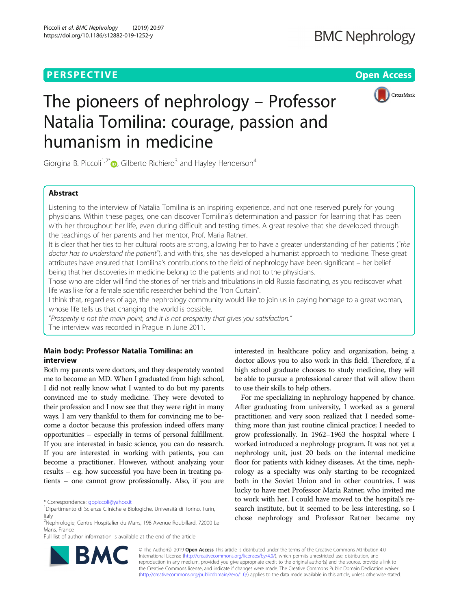## **PERSPECTIVE CONSUMING A REPORT OF A SET OF A REPORT OF A SET OF A REPORT OF A SET OF A REPORT OF A SET OF A S**



# The pioneers of nephrology – Professor Natalia Tomilina: courage, passion and humanism in medicine

Giorgina B. Piccoli<sup>1,2[\\*](http://orcid.org/0000-0002-2632-4009)</sup>  $\bullet$ , Gilberto Richiero<sup>3</sup> and Hayley Henderson<sup>4</sup>

## Abstract

Listening to the interview of Natalia Tomilina is an inspiring experience, and not one reserved purely for young physicians. Within these pages, one can discover Tomilina's determination and passion for learning that has been with her throughout her life, even during difficult and testing times. A great resolve that she developed through the teachings of her parents and her mentor, Prof. Maria Ratner.

It is clear that her ties to her cultural roots are strong, allowing her to have a greater understanding of her patients ("the doctor has to understand the patient"), and with this, she has developed a humanist approach to medicine. These great attributes have ensured that Tomilina's contributions to the field of nephrology have been significant – her belief being that her discoveries in medicine belong to the patients and not to the physicians.

Those who are older will find the stories of her trials and tribulations in old Russia fascinating, as you rediscover what life was like for a female scientific researcher behind the "Iron Curtain".

I think that, regardless of age, the nephrology community would like to join us in paying homage to a great woman, whose life tells us that changing the world is possible.

"Prosperity is not the main point, and it is not prosperity that gives you satisfaction." The interview was recorded in Prague in June 2011.

### Main body: Professor Natalia Tomilina: an interview

Both my parents were doctors, and they desperately wanted me to become an MD. When I graduated from high school, I did not really know what I wanted to do but my parents convinced me to study medicine. They were devoted to their profession and I now see that they were right in many ways. I am very thankful to them for convincing me to become a doctor because this profession indeed offers many opportunities – especially in terms of personal fulfillment. If you are interested in basic science, you can do research. If you are interested in working with patients, you can become a practitioner. However, without analyzing your results – e.g. how successful you have been in treating patients – one cannot grow professionally. Also, if you are

\* Correspondence: [gbpiccoli@yahoo.it](mailto:gbpiccoli@yahoo.it) <sup>1</sup>

Full list of author information is available at the end of the article

interested in healthcare policy and organization, being a doctor allows you to also work in this field. Therefore, if a high school graduate chooses to study medicine, they will be able to pursue a professional career that will allow them to use their skills to help others.

For me specializing in nephrology happened by chance. After graduating from university, I worked as a general practitioner, and very soon realized that I needed something more than just routine clinical practice; I needed to grow professionally. In 1962–1963 the hospital where I worked introduced a nephrology program. It was not yet a nephrology unit, just 20 beds on the internal medicine floor for patients with kidney diseases. At the time, nephrology as a specialty was only starting to be recognized both in the Soviet Union and in other countries. I was lucky to have met Professor Maria Ratner, who invited me to work with her. I could have moved to the hospital's research institute, but it seemed to be less interesting, so I chose nephrology and Professor Ratner became my



© The Author(s). 2019 Open Access This article is distributed under the terms of the Creative Commons Attribution 4.0 International License [\(http://creativecommons.org/licenses/by/4.0/](http://creativecommons.org/licenses/by/4.0/)), which permits unrestricted use, distribution, and reproduction in any medium, provided you give appropriate credit to the original author(s) and the source, provide a link to the Creative Commons license, and indicate if changes were made. The Creative Commons Public Domain Dedication waiver [\(http://creativecommons.org/publicdomain/zero/1.0/](http://creativecommons.org/publicdomain/zero/1.0/)) applies to the data made available in this article, unless otherwise stated.

Dipartimento di Scienze Cliniche e Biologiche, Università di Torino, Turin, Italy

<sup>&</sup>lt;sup>2</sup>Nephrologie, Centre Hospitalier du Mans, 198 Avenue Roubillard, 72000 Le Mans, France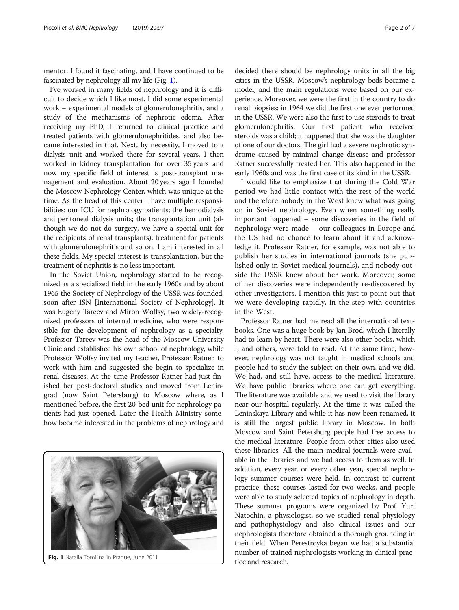mentor. I found it fascinating, and I have continued to be fascinated by nephrology all my life (Fig. 1).

I've worked in many fields of nephrology and it is difficult to decide which I like most. I did some experimental work – experimental models of glomerulonephritis, and a study of the mechanisms of nephrotic edema. After receiving my PhD, I returned to clinical practice and treated patients with glomerulonephritides, and also became interested in that. Next, by necessity, I moved to a dialysis unit and worked there for several years. I then worked in kidney transplantation for over 35 years and now my specific field of interest is post-transplant management and evaluation. About 20 years ago I founded the Moscow Nephrology Center, which was unique at the time. As the head of this center I have multiple responsibilities: our ICU for nephrology patients; the hemodialysis and peritoneal dialysis units; the transplantation unit (although we do not do surgery, we have a special unit for the recipients of renal transplants); treatment for patients with glomerulonephritis and so on. I am interested in all these fields. My special interest is transplantation, but the treatment of nephritis is no less important.

In the Soviet Union, nephrology started to be recognized as a specialized field in the early 1960s and by about 1965 the Society of Nephrology of the USSR was founded, soon after ISN [International Society of Nephrology]. It was Eugeny Tareev and Miron Woffsy, two widely-recognized professors of internal medicine, who were responsible for the development of nephrology as a specialty. Professor Tareev was the head of the Moscow University Clinic and established his own school of nephrology, while Professor Woffsy invited my teacher, Professor Ratner, to work with him and suggested she begin to specialize in renal diseases. At the time Professor Ratner had just finished her post-doctoral studies and moved from Leningrad (now Saint Petersburg) to Moscow where, as I mentioned before, the first 20-bed unit for nephrology patients had just opened. Later the Health Ministry somehow became interested in the problems of nephrology and



**Fig. 1** Natalia Tomilina in Prague, June 2011 tice and research.

decided there should be nephrology units in all the big cities in the USSR. Moscow's nephrology beds became a model, and the main regulations were based on our experience. Moreover, we were the first in the country to do renal biopsies: in 1964 we did the first one ever performed in the USSR. We were also the first to use steroids to treat glomerulonephritis. Our first patient who received steroids was a child; it happened that she was the daughter of one of our doctors. The girl had a severe nephrotic syndrome caused by minimal change disease and professor Ratner successfully treated her. This also happened in the early 1960s and was the first case of its kind in the USSR.

I would like to emphasize that during the Cold War period we had little contact with the rest of the world and therefore nobody in the West knew what was going on in Soviet nephrology. Even when something really important happened – some discoveries in the field of nephrology were made – our colleagues in Europe and the US had no chance to learn about it and acknowledge it. Professor Ratner, for example, was not able to publish her studies in international journals (she published only in Soviet medical journals), and nobody outside the USSR knew about her work. Moreover, some of her discoveries were independently re-discovered by other investigators. I mention this just to point out that we were developing rapidly, in the step with countries in the West.

Professor Ratner had me read all the international textbooks. One was a huge book by Jan Brod, which I literally had to learn by heart. There were also other books, which I, and others, were told to read. At the same time, however, nephrology was not taught in medical schools and people had to study the subject on their own, and we did. We had, and still have, access to the medical literature. We have public libraries where one can get everything. The literature was available and we used to visit the library near our hospital regularly. At the time it was called the Leninskaya Library and while it has now been renamed, it is still the largest public library in Moscow. In both Moscow and Saint Petersburg people had free access to the medical literature. People from other cities also used these libraries. All the main medical journals were available in the libraries and we had access to them as well. In addition, every year, or every other year, special nephrology summer courses were held. In contrast to current practice, these courses lasted for two weeks, and people were able to study selected topics of nephrology in depth. These summer programs were organized by Prof. Yuri Natochin, a physiologist, so we studied renal physiology and pathophysiology and also clinical issues and our nephrologists therefore obtained a thorough grounding in their field. When Perestroyka began we had a substantial number of trained nephrologists working in clinical prac-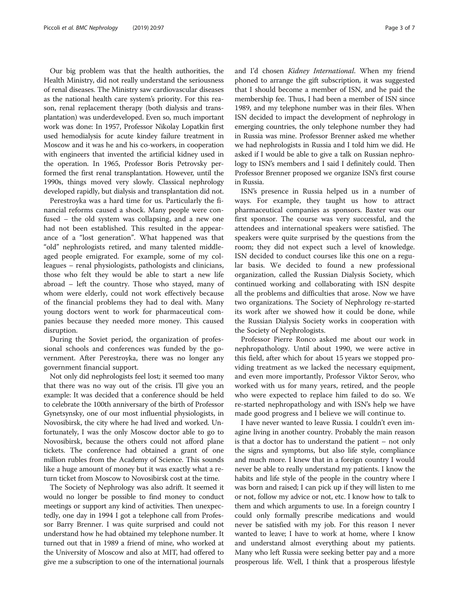Our big problem was that the health authorities, the Health Ministry, did not really understand the seriousness of renal diseases. The Ministry saw cardiovascular diseases as the national health care system's priority. For this reason, renal replacement therapy (both dialysis and transplantation) was underdeveloped. Even so, much important work was done: In 1957, Professor Nikolay Lopatkin first used hemodialysis for acute kindey failure treatment in Moscow and it was he and his co-workers, in cooperation with engineers that invented the artificial kidney used in the operation. In 1965, Professor Boris Petrovsky performed the first renal transplantation. However, until the 1990s, things moved very slowly. Classical nephrology developed rapidly, but dialysis and transplantation did not.

Perestroyka was a hard time for us. Particularly the financial reforms caused a shock. Many people were confused – the old system was collapsing, and a new one had not been established. This resulted in the appearance of a "lost generation". What happened was that "old" nephrologists retired, and many talented middleaged people emigrated. For example, some of my colleagues – renal physiologists, pathologists and clinicians, those who felt they would be able to start a new life abroad – left the country. Those who stayed, many of whom were elderly, could not work effectively because of the financial problems they had to deal with. Many young doctors went to work for pharmaceutical companies because they needed more money. This caused disruption.

During the Soviet period, the organization of professional schools and conferences was funded by the government. After Perestroyka, there was no longer any government financial support.

Not only did nephrologists feel lost; it seemed too many that there was no way out of the crisis. I'll give you an example: It was decided that a conference should be held to celebrate the 100th anniversary of the birth of Professor Gynetsynsky, one of our most influential physiologists, in Novosibirsk, the city where he had lived and worked. Unfortunately, I was the only Moscow doctor able to go to Novosibirsk, because the others could not afford plane tickets. The conference had obtained a grant of one million rubles from the Academy of Science. This sounds like a huge amount of money but it was exactly what a return ticket from Moscow to Novosibirsk cost at the time.

The Society of Nephrology was also adrift. It seemed it would no longer be possible to find money to conduct meetings or support any kind of activities. Then unexpectedly, one day in 1994 I got a telephone call from Professor Barry Brenner. I was quite surprised and could not understand how he had obtained my telephone number. It turned out that in 1989 a friend of mine, who worked at the University of Moscow and also at MIT, had offered to give me a subscription to one of the international journals and I'd chosen Kidney International. When my friend phoned to arrange the gift subscription, it was suggested that I should become a member of ISN, and he paid the membership fee. Thus, I had been a member of ISN since 1989, and my telephone number was in their files. When ISN decided to impact the development of nephrology in emerging countries, the only telephone number they had in Russia was mine. Professor Brenner asked me whether we had nephrologists in Russia and I told him we did. He asked if I would be able to give a talk on Russian nephrology to ISN's members and I said I definitely could. Then Professor Brenner proposed we organize ISN's first course in Russia.

ISN's presence in Russia helped us in a number of ways. For example, they taught us how to attract pharmaceutical companies as sponsors. Baxter was our first sponsor. The course was very successful, and the attendees and international speakers were satisfied. The speakers were quite surprised by the questions from the room; they did not expect such a level of knowledge. ISN decided to conduct courses like this one on a regular basis. We decided to found a new professional organization, called the Russian Dialysis Society, which continued working and collaborating with ISN despite all the problems and difficulties that arose. Now we have two organizations. The Society of Nephrology re-started its work after we showed how it could be done, while the Russian Dialysis Society works in cooperation with the Society of Nephrologists.

Professor Pierre Ronco asked me about our work in nephropathology. Until about 1990, we were active in this field, after which for about 15 years we stopped providing treatment as we lacked the necessary equipment, and even more importantly, Professor Viktor Serov, who worked with us for many years, retired, and the people who were expected to replace him failed to do so. We re-started nephropathology and with ISN's help we have made good progress and I believe we will continue to.

I have never wanted to leave Russia. I couldn't even imagine living in another country. Probably the main reason is that a doctor has to understand the patient – not only the signs and symptoms, but also life style, compliance and much more. I knew that in a foreign country I would never be able to really understand my patients. I know the habits and life style of the people in the country where I was born and raised; I can pick up if they will listen to me or not, follow my advice or not, etc. I know how to talk to them and which arguments to use. In a foreign country I could only formally prescribe medications and would never be satisfied with my job. For this reason I never wanted to leave; I have to work at home, where I know and understand almost everything about my patients. Many who left Russia were seeking better pay and a more prosperous life. Well, I think that a prosperous lifestyle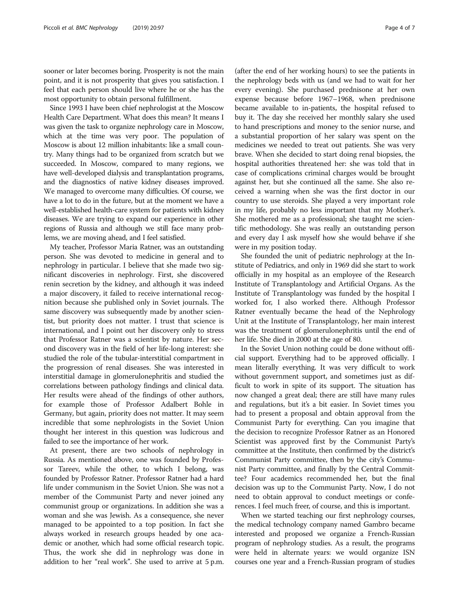sooner or later becomes boring. Prosperity is not the main point, and it is not prosperity that gives you satisfaction. I feel that each person should live where he or she has the most opportunity to obtain personal fulfillment.

Since 1993 I have been chief nephrologist at the Moscow Health Care Department. What does this mean? It means I was given the task to organize nephrology care in Moscow, which at the time was very poor. The population of Moscow is about 12 million inhabitants: like a small country. Many things had to be organized from scratch but we succeeded. In Moscow, compared to many regions, we have well-developed dialysis and transplantation programs, and the diagnostics of native kidney diseases improved. We managed to overcome many difficulties. Of course, we have a lot to do in the future, but at the moment we have a well-established health-care system for patients with kidney diseases. We are trying to expand our experience in other regions of Russia and although we still face many problems, we are moving ahead, and I feel satisfied.

My teacher, Professor Maria Ratner, was an outstanding person. She was devoted to medicine in general and to nephrology in particular. I believe that she made two significant discoveries in nephrology. First, she discovered renin secretion by the kidney, and although it was indeed a major discovery, it failed to receive international recognition because she published only in Soviet journals. The same discovery was subsequently made by another scientist, but priority does not matter. I trust that science is international, and I point out her discovery only to stress that Professor Ratner was a scientist by nature. Her second discovery was in the field of her life-long interest: she studied the role of the tubular-interstitial compartment in the progression of renal diseases. She was interested in interstitial damage in glomerulonephritis and studied the correlations between pathology findings and clinical data. Her results were ahead of the findings of other authors, for example those of Professor Adalbert Bohle in Germany, but again, priority does not matter. It may seem incredible that some nephrologists in the Soviet Union thought her interest in this question was ludicrous and failed to see the importance of her work.

At present, there are two schools of nephrology in Russia. As mentioned above, one was founded by Professor Tareev, while the other, to which I belong, was founded by Professor Ratner. Professor Ratner had a hard life under communism in the Soviet Union. She was not a member of the Communist Party and never joined any communist group or organizations. In addition she was a woman and she was Jewish. As a consequence, she never managed to be appointed to a top position. In fact she always worked in research groups headed by one academic or another, which had some official research topic. Thus, the work she did in nephrology was done in addition to her "real work". She used to arrive at 5 p.m.

(after the end of her working hours) to see the patients in the nephrology beds with us (and we had to wait for her every evening). She purchased prednisone at her own expense because before 1967–1968, when prednisone became available to in-patients, the hospital refused to buy it. The day she received her monthly salary she used to hand prescriptions and money to the senior nurse, and a substantial proportion of her salary was spent on the medicines we needed to treat out patients. She was very brave. When she decided to start doing renal biopsies, the hospital authorities threatened her: she was told that in case of complications criminal charges would be brought against her, but she continued all the same. She also received a warning when she was the first doctor in our country to use steroids. She played a very important role in my life, probably no less important that my Mother's. She mothered me as a professional; she taught me scientific methodology. She was really an outstanding person and every day I ask myself how she would behave if she were in my position today.

She founded the unit of pediatric nephrology at the Institute of Pediatrics, and only in 1969 did she start to work officially in my hospital as an employee of the Research Institute of Transplantology and Artificial Organs. As the Institute of Transplantology was funded by the hospital I worked for, I also worked there. Although Professor Ratner eventually became the head of the Nephrology Unit at the Institute of Transplantology, her main interest was the treatment of glomerulonephritis until the end of her life. She died in 2000 at the age of 80.

In the Soviet Union nothing could be done without official support. Everything had to be approved officially. I mean literally everything. It was very difficult to work without government support, and sometimes just as difficult to work in spite of its support. The situation has now changed a great deal; there are still have many rules and regulations, but it's a bit easier. In Soviet times you had to present a proposal and obtain approval from the Communist Party for everything. Can you imagine that the decision to recognize Professor Ratner as an Honored Scientist was approved first by the Communist Party's committee at the Institute, then confirmed by the district's Communist Party committee, then by the city's Communist Party committee, and finally by the Central Committee? Four academics recommended her, but the final decision was up to the Communist Party. Now, I do not need to obtain approval to conduct meetings or conferences. I feel much freer, of course, and this is important.

When we started teaching our first nephrology courses, the medical technology company named Gambro became interested and proposed we organize a French-Russian program of nephrology studies. As a result, the programs were held in alternate years: we would organize ISN courses one year and a French-Russian program of studies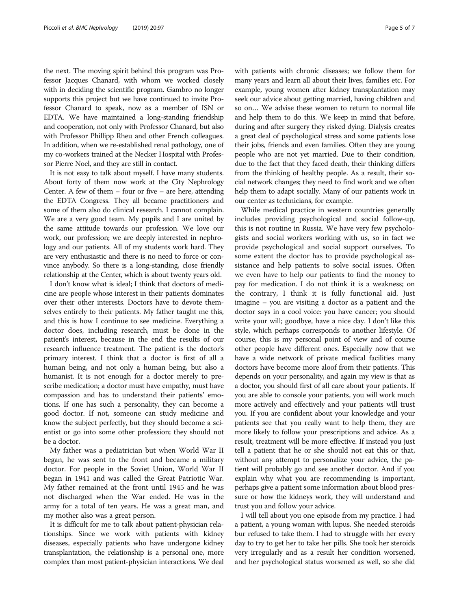the next. The moving spirit behind this program was Professor Jacques Chanard, with whom we worked closely with in deciding the scientific program. Gambro no longer supports this project but we have continued to invite Professor Chanard to speak, now as a member of ISN or EDTA. We have maintained a long-standing friendship and cooperation, not only with Professor Chanard, but also with Professor Phillipp Rheu and other French colleagues. In addition, when we re-established renal pathology, one of my co-workers trained at the Necker Hospital with Professor Pierre Noel, and they are still in contact.

It is not easy to talk about myself. I have many students. About forty of them now work at the City Nephrology Center. A few of them  $-$  four or five  $-$  are here, attending the EDTA Congress. They all became practitioners and some of them also do clinical research. I cannot complain. We are a very good team. My pupils and I are united by the same attitude towards our profession. We love our work, our profession; we are deeply interested in nephrology and our patients. All of my students work hard. They are very enthusiastic and there is no need to force or convince anybody. So there is a long-standing, close friendly relationship at the Center, which is about twenty years old.

I don't know what is ideal; I think that doctors of medicine are people whose interest in their patients dominates over their other interests. Doctors have to devote themselves entirely to their patients. My father taught me this, and this is how I continue to see medicine. Everything a doctor does, including research, must be done in the patient's interest, because in the end the results of our research influence treatment. The patient is the doctor's primary interest. I think that a doctor is first of all a human being, and not only a human being, but also a humanist. It is not enough for a doctor merely to prescribe medication; a doctor must have empathy, must have compassion and has to understand their patients' emotions. If one has such a personality, they can become a good doctor. If not, someone can study medicine and know the subject perfectly, but they should become a scientist or go into some other profession; they should not be a doctor.

My father was a pediatrician but when World War II began, he was sent to the front and became a military doctor. For people in the Soviet Union, World War II began in 1941 and was called the Great Patriotic War. My father remained at the front until 1945 and he was not discharged when the War ended. He was in the army for a total of ten years. He was a great man, and my mother also was a great person.

It is difficult for me to talk about patient-physician relationships. Since we work with patients with kidney diseases, especially patients who have undergone kidney transplantation, the relationship is a personal one, more complex than most patient-physician interactions. We deal with patients with chronic diseases; we follow them for many years and learn all about their lives, families etc. For example, young women after kidney transplantation may seek our advice about getting married, having children and so on… We advise these women to return to normal life and help them to do this. We keep in mind that before, during and after surgery they risked dying. Dialysis creates a great deal of psychological stress and some patients lose their jobs, friends and even families. Often they are young people who are not yet married. Due to their condition, due to the fact that they faced death, their thinking differs from the thinking of healthy people. As a result, their social network changes; they need to find work and we often help them to adapt socially. Many of our patients work in our center as technicians, for example.

While medical practice in western countries generally includes providing psychological and social follow-up, this is not routine in Russia. We have very few psychologists and social workers working with us, so in fact we provide psychological and social support ourselves. To some extent the doctor has to provide psychological assistance and help patients to solve social issues. Often we even have to help our patients to find the money to pay for medication. I do not think it is a weakness; on the contrary, I think it is fully functional aid. Just imagine – you are visiting a doctor as a patient and the doctor says in a cool voice: you have cancer; you should write your will; goodbye, have a nice day. I don't like this style, which perhaps corresponds to another lifestyle. Of course, this is my personal point of view and of course other people have different ones. Especially now that we have a wide network of private medical facilities many doctors have become more aloof from their patients. This depends on your personality, and again my view is that as a doctor, you should first of all care about your patients. If you are able to console your patients, you will work much more actively and effectively and your patients will trust you. If you are confident about your knowledge and your patients see that you really want to help them, they are more likely to follow your prescriptions and advice. As a result, treatment will be more effective. If instead you just tell a patient that he or she should not eat this or that, without any attempt to personalize your advice, the patient will probably go and see another doctor. And if you explain why what you are recommending is important, perhaps give a patient some information about blood pressure or how the kidneys work, they will understand and trust you and follow your advice.

I will tell about you one episode from my practice. I had a patient, a young woman with lupus. She needed steroids bur refused to take them. I had to struggle with her every day to try to get her to take her pills. She took her steroids very irregularly and as a result her condition worsened, and her psychological status worsened as well, so she did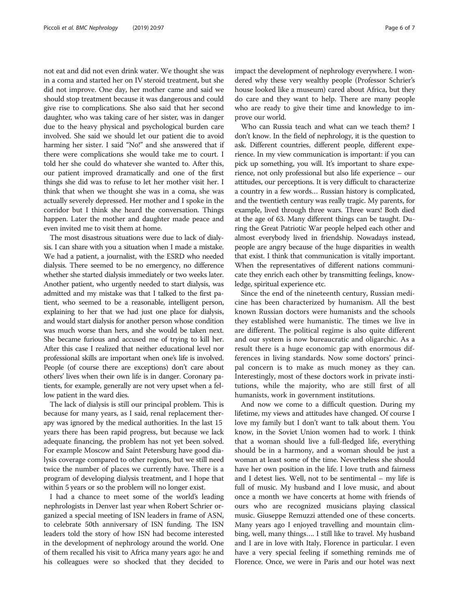not eat and did not even drink water. We thought she was in a coma and started her on IV steroid treatment, but she did not improve. One day, her mother came and said we should stop treatment because it was dangerous and could give rise to complications. She also said that her second daughter, who was taking care of her sister, was in danger due to the heavy physical and psychological burden care involved. She said we should let our patient die to avoid harming her sister. I said "No!" and she answered that if there were complications she would take me to court. I told her she could do whatever she wanted to. After this, our patient improved dramatically and one of the first things she did was to refuse to let her mother visit her. I think that when we thought she was in a coma, she was actually severely depressed. Her mother and I spoke in the corridor but I think she heard the conversation. Things happen. Later the mother and daughter made peace and even invited me to visit them at home.

The most disastrous situations were due to lack of dialysis. I can share with you a situation when I made a mistake. We had a patient, a journalist, with the ESRD who needed dialysis. There seemed to be no emergency, no difference whether she started dialysis immediately or two weeks later. Another patient, who urgently needed to start dialysis, was admitted and my mistake was that I talked to the first patient, who seemed to be a reasonable, intelligent person, explaining to her that we had just one place for dialysis, and would start dialysis for another person whose condition was much worse than hers, and she would be taken next. She became furious and accused me of trying to kill her. After this case I realized that neither educational level nor professional skills are important when one's life is involved. People (of course there are exceptions) don't care about others' lives when their own life is in danger. Coronary patients, for example, generally are not very upset when a fellow patient in the ward dies.

The lack of dialysis is still our principal problem. This is because for many years, as I said, renal replacement therapy was ignored by the medical authorities. In the last 15 years there has been rapid progress, but because we lack adequate financing, the problem has not yet been solved. For example Moscow and Saint Petersburg have good dialysis coverage compared to other regions, but we still need twice the number of places we currently have. There is a program of developing dialysis treatment, and I hope that within 5 years or so the problem will no longer exist.

I had a chance to meet some of the world's leading nephrologists in Denver last year when Robert Schrier organized a special meeting of ISN leaders in frame of ASN, to celebrate 50th anniversary of ISN funding. The ISN leaders told the story of how ISN had become interested in the development of nephrology around the world. One of them recalled his visit to Africa many years ago: he and his colleagues were so shocked that they decided to impact the development of nephrology everywhere. I wondered why these very wealthy people (Professor Schrier's house looked like a museum) cared about Africa, but they do care and they want to help. There are many people who are ready to give their time and knowledge to improve our world.

Who can Russia teach and what can we teach them? I don't know. In the field of nephrology, it is the question to ask. Different countries, different people, different experience. In my view communication is important: if you can pick up something, you will. It's important to share experience, not only professional but also life experience – our attitudes, our perceptions. It is very difficult to characterize a country in a few words… Russian history is complicated, and the twentieth century was really tragic. My parents, for example, lived through three wars. Three wars! Both died at the age of 63. Many different things can be taught. During the Great Patriotic War people helped each other and almost everybody lived in friendship. Nowadays instead, people are angry because of the huge disparities in wealth that exist. I think that communication is vitally important. When the representatives of different nations communicate they enrich each other by transmitting feelings, knowledge, spiritual experience etc.

Since the end of the nineteenth century, Russian medicine has been characterized by humanism. All the best known Russian doctors were humanists and the schools they established were humanistic. The times we live in are different. The political regime is also quite different and our system is now bureaucratic and oligarchic. As a result there is a huge economic gap with enormous differences in living standards. Now some doctors' principal concern is to make as much money as they can. Interestingly, most of these doctors work in private institutions, while the majority, who are still first of all humanists, work in government institutions.

And now we come to a difficult question. During my lifetime, my views and attitudes have changed. Of course I love my family but I don't want to talk about them. You know, in the Soviet Union women had to work. I think that a woman should live a full-fledged life, everything should be in a harmony, and a woman should be just a woman at least some of the time. Nevertheless she should have her own position in the life. I love truth and fairness and I detest lies. Well, not to be sentimental – my life is full of music. My husband and I love music, and about once a month we have concerts at home with friends of ours who are recognized musicians playing classical music. Giuseppe Remuzzi attended one of these concerts. Many years ago I enjoyed travelling and mountain climbing, well, many things…. I still like to travel. My husband and I are in love with Italy, Florence in particular. I even have a very special feeling if something reminds me of Florence. Once, we were in Paris and our hotel was next